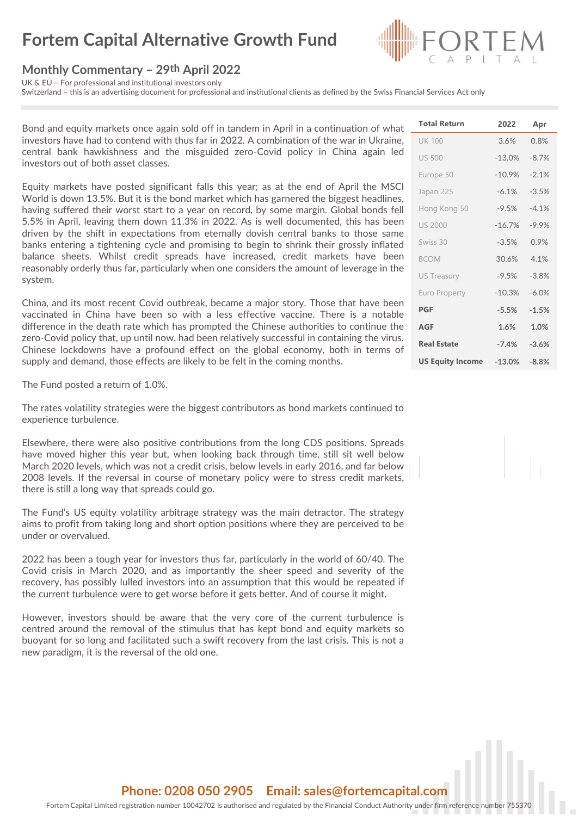# **Fortem Capital Alternative Growth Fund**

#### **Monthly Commentary – 29th April 2022**

UK & EU – For professional and institutional investors only

Switzerland – this is an advertising document for professional and institutional clients as defined by the Swiss Financial Services Act only

Bond and equity markets once again sold off in tandem in April in a continuation of what investors have had to contend with thus far in 2022. A combination of the war in Ukraine, central bank hawkishness and the misguided zero-Covid policy in China again led investors out of both asset classes.

Equity markets have posted significant falls this year; as at the end of April the MSCI World is down 13.5%. But it is the bond market which has garnered the biggest headlines, having suffered their worst start to a year on record, by some margin. Global bonds fell 5.5% in April, leaving them down 11.3% in 2022. As is well documented, this has been driven by the shift in expectations from eternally dovish central banks to those same banks entering a tightening cycle and promising to begin to shrink their grossly inflated balance sheets. Whilst credit spreads have increased, credit markets have been reasonably orderly thus far, particularly when one considers the amount of leverage in the system.

China, and its most recent Covid outbreak, became a major story. Those that have been vaccinated in China have been so with a less effective vaccine. There is a notable difference in the death rate which has prompted the Chinese authorities to continue the zero-Covid policy that, up until now, had been relatively successful in containing the virus. Chinese lockdowns have a profound effect on the global economy, both in terms of supply and demand, those effects are likely to be felt in the coming months.

The Fund posted a return of 1.0%.

The rates volatility strategies were the biggest contributors as bond markets continued to experience turbulence.

Elsewhere, there were also positive contributions from the long CDS positions. Spreads have moved higher this year but, when looking back through time, still sit well below March 2020 levels, which was not a credit crisis, below levels in early 2016, and far below 2008 levels. If the reversal in course of monetary policy were to stress credit markets, there is still a long way that spreads could go.

The Fund's US equity volatility arbitrage strategy was the main detractor. The strategy aims to profit from taking long and short option positions where they are perceived to be under or overvalued.

2022 has been a tough year for investors thus far, particularly in the world of 60/40. The Covid crisis in March 2020, and as importantly the sheer speed and severity of the recovery, has possibly lulled investors into an assumption that this would be repeated if the current turbulence were to get worse before it gets better. And of course it might.

However, investors should be aware that the very core of the current turbulence is centred around the removal of the stimulus that has kept bond and equity markets so buoyant for so long and facilitated such a swift recovery from the last crisis. This is not a new paradigm, it is the reversal of the old one.

| <b>Total Return</b>     | 2022               | Apr     |
|-------------------------|--------------------|---------|
| <b>UK 100</b>           | 3.6%               | 0.8%    |
| <b>US 500</b>           | $-13.0%$           | $-8.7%$ |
| Europe 50               | $-10.9%$           | $-2.1%$ |
| Japan 225               | $-6.1%$            | $-3.5%$ |
| Hong Kong 50            | $-9.5%$            | $-41%$  |
| <b>US 2000</b>          | $-167%$            | $-9.9%$ |
| Swiss 30                | $-3.5%$            | 0.9%    |
| <b>BCOM</b>             | 30.6%              | 4.1%    |
| <b>US Treasury</b>      | $-9.5%$            | $-3.8%$ |
| <b>Euro Property</b>    | $-10.3%$           | $-6.0%$ |
| <b>PGF</b>              | $-5.5%$            | $-1.5%$ |
| <b>AGF</b>              | 1.6%               | 1.0%    |
| <b>Real Estate</b>      | $-7.4%$            | $-3.6%$ |
| <b>US Equity Income</b> | $-13.0\%$ $-8.8\%$ |         |

### **Phone: 0208 050 2905 Email: sales@fortemcapital.com**

Fortem Capital Limited registration number 10042702 is authorised and regulated by the Financial Conduct Authority under firm reference number 755370